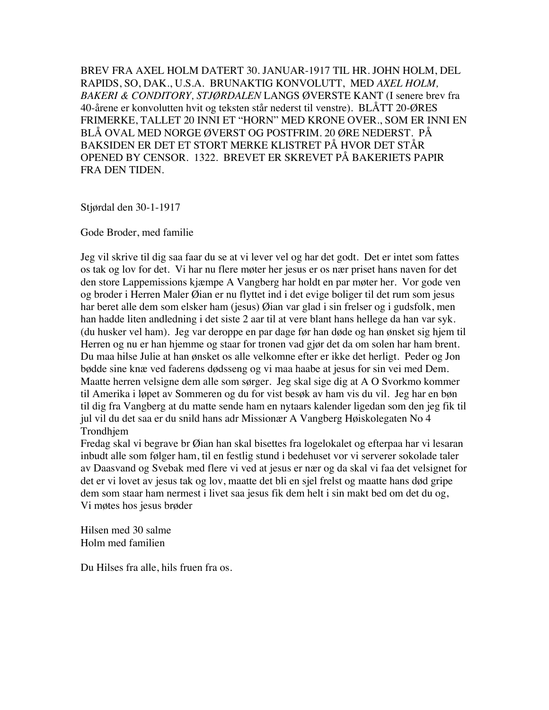BREV FRA AXEL HOLM DATERT 30. JANUAR-1917 TIL HR. JOHN HOLM, DEL RAPIDS, SO, DAK., U.S.A. BRUNAKTIG KONVOLUTT, MED *AXEL HOLM, BAKERI & CONDITORY, STJØRDALEN* LANGS ØVERSTE KANT (I senere brev fra 40-årene er konvolutten hvit og teksten står nederst til venstre). BLÅTT 20-ØRES FRIMERKE, TALLET 20 INNI ET "HORN" MED KRONE OVER., SOM ER INNI EN BLÅ OVAL MED NORGE ØVERST OG POSTFRIM. 20 ØRE NEDERST. PÅ BAKSIDEN ER DET ET STORT MERKE KLISTRET PÅ HVOR DET STÅR OPENED BY CENSOR. 1322. BREVET ER SKREVET PÅ BAKERIETS PAPIR FRA DEN TIDEN.

Stjørdal den 30-1-1917

Gode Broder, med familie

Jeg vil skrive til dig saa faar du se at vi lever vel og har det godt. Det er intet som fattes os tak og lov for det. Vi har nu flere møter her jesus er os nær priset hans naven for det den store Lappemissions kjæmpe A Vangberg har holdt en par møter her. Vor gode ven og broder i Herren Maler Øian er nu flyttet ind i det evige boliger til det rum som jesus har beret alle dem som elsker ham (jesus) Øian var glad i sin frelser og i gudsfolk, men han hadde liten andledning i det siste 2 aar til at vere blant hans hellege da han var syk. (du husker vel ham). Jeg var deroppe en par dage før han døde og han ønsket sig hjem til Herren og nu er han hjemme og staar for tronen vad gjør det da om solen har ham brent. Du maa hilse Julie at han ønsket os alle velkomne efter er ikke det herligt. Peder og Jon bødde sine knæ ved faderens dødsseng og vi maa haabe at jesus for sin vei med Dem. Maatte herren velsigne dem alle som sørger. Jeg skal sige dig at A O Svorkmo kommer til Amerika i løpet av Sommeren og du for vist besøk av ham vis du vil. Jeg har en bøn til dig fra Vangberg at du matte sende ham en nytaars kalender ligedan som den jeg fik til jul vil du det saa er du snild hans adr Missionær A Vangberg Høiskolegaten No 4 Trondhjem

Fredag skal vi begrave br Øian han skal bisettes fra logelokalet og efterpaa har vi lesaran inbudt alle som følger ham, til en festlig stund i bedehuset vor vi serverer sokolade taler av Daasvand og Svebak med flere vi ved at jesus er nær og da skal vi faa det velsignet for det er vi lovet av jesus tak og lov, maatte det bli en sjel frelst og maatte hans død gripe dem som staar ham nermest i livet saa jesus fik dem helt i sin makt bed om det du og, Vi møtes hos jesus brøder

Hilsen med 30 salme Holm med familien

Du Hilses fra alle, hils fruen fra os.